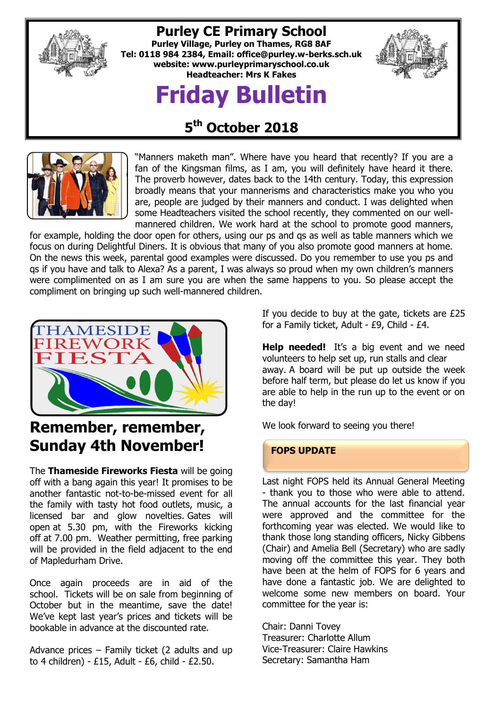

## **Purley CE Primary School**

**Purley Village, Purley on Thames, RG8 8AF Tel: 0118 984 2384, Email: [office@purley.w-berks.sch.uk](mailto:office@purley.w-berks.sch.uk) website: www.purleyprimaryschool.co.uk Headteacher: Mrs K Fakes**

# **Friday Bulletin**



# **5 th October 2018**



"Manners maketh man". Where have you heard that recently? If you are a fan of the Kingsman films, as I am, you will definitely have heard it there. The proverb however, dates back to the 14th century. Today, this expression broadly means that your mannerisms and characteristics make you who you are, people are judged by their manners and conduct. I was delighted when some Headteachers visited the school recently, they commented on our wellmannered children. We work hard at the school to promote good manners,

for example, holding the door open for others, using our ps and qs as well as table manners which we focus on during Delightful Diners. It is obvious that many of you also promote good manners at home. On the news this week, parental good examples were discussed. Do you remember to use you ps and qs if you have and talk to Alexa? As a parent, I was always so proud when my own children's manners were complimented on as I am sure you are when the same happens to you. So please accept the compliment on bringing up such well-mannered children.



# **Remember, remember, Sunday 4th November!**

The **Thameside Fireworks Fiesta** will be going off with a bang again this year! It promises to be another fantastic not-to-be-missed event for all the family with tasty hot food outlets, music, a licensed bar and glow novelties. Gates will open at 5.30 pm, with the Fireworks kicking off at 7.00 pm. Weather permitting, free parking will be provided in the field adjacent to the end of Mapledurham Drive.

Once again proceeds are in aid of the school. Tickets will be on sale from beginning of October but in the meantime, save the date! We've kept last year's prices and tickets will be bookable in advance at the discounted rate.

Advance prices – Family ticket (2 adults and up to 4 children) - £15, Adult - £6, child - £2.50.

If you decide to buy at the gate, tickets are £25 for a Family ticket, Adult - £9, Child - £4.

**Help needed!** It's a big event and we need volunteers to help set up, run stalls and clear away. A board will be put up outside the week before half term, but please do let us know if you are able to help in the run up to the event or on the day!

We look forward to seeing you there!

#### **FOPS UPDATE**

Last night FOPS held its Annual General Meeting - thank you to those who were able to attend. The annual accounts for the last financial year were approved and the committee for the forthcoming year was elected. We would like to thank those long standing officers, Nicky Gibbens (Chair) and Amelia Bell (Secretary) who are sadly moving off the committee this year. They both have been at the helm of FOPS for 6 years and have done a fantastic job. We are delighted to welcome some new members on board. Your committee for the year is:

Chair: Danni Tovey Treasurer: Charlotte Allum Vice-Treasurer: Claire Hawkins Secretary: Samantha Ham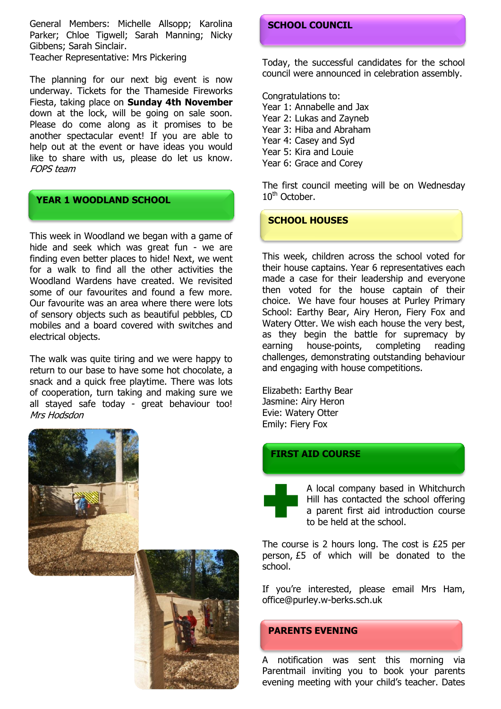General Members: Michelle Allsopp; Karolina Parker; Chloe Tigwell; Sarah Manning; Nicky Gibbens; Sarah Sinclair. Teacher Representative: Mrs Pickering

The planning for our next big event is now underway. Tickets for the Thameside Fireworks Fiesta, taking place on **Sunday 4th November** down at the lock, will be going on sale soon. Please do come along as it promises to be another spectacular event! If you are able to help out at the event or have ideas you would like to share with us, please do let us know. FOPS team

#### **YEAR 1 WOODLAND SCHOOL**

This week in Woodland we began with a game of hide and seek which was great fun - we are finding even better places to hide! Next, we went for a walk to find all the other activities the Woodland Wardens have created. We revisited some of our favourites and found a few more. Our favourite was an area where there were lots of sensory objects such as beautiful pebbles, CD mobiles and a board covered with switches and electrical objects.

The walk was quite tiring and we were happy to return to our base to have some hot chocolate, a snack and a quick free playtime. There was lots of cooperation, turn taking and making sure we all stayed safe today - great behaviour too! Mrs Hodsdon



#### **SCHOOL COUNCIL**

Today, the successful candidates for the school council were announced in celebration assembly.

Congratulations to: Year 1: Annabelle and Jax Year 2: Lukas and Zayneb Year 3: Hiba and Abraham Year 4: Casey and Syd Year 5: Kira and Louie Year 6: Grace and Corey

The first council meeting will be on Wednesday 10<sup>th</sup> October.

#### **SCHOOL HOUSES**

This week, children across the school voted for their house captains. Year 6 representatives each made a case for their leadership and everyone then voted for the house captain of their choice. We have four houses at Purley Primary School: Earthy Bear, Airy Heron, Fiery Fox and Watery Otter. We wish each house the very best, as they begin the battle for supremacy by earning house-points, completing reading challenges, demonstrating outstanding behaviour and engaging with house competitions.

Elizabeth: Earthy Bear Jasmine: Airy Heron Evie: Watery Otter Emily: Fiery Fox

#### **FIRST AID COURSE**

A local company based in Whitchurch Hill has contacted the school offering a parent first aid introduction course to be held at the school.

The course is 2 hours long. The cost is £25 per person, £5 of which will be donated to the school.

If you're interested, please email Mrs Ham, office@purley.w-berks.sch.uk

#### **PARENTS EVENING**

A notification was sent this morning via Parentmail inviting you to book your parents evening meeting with your child's teacher. Dates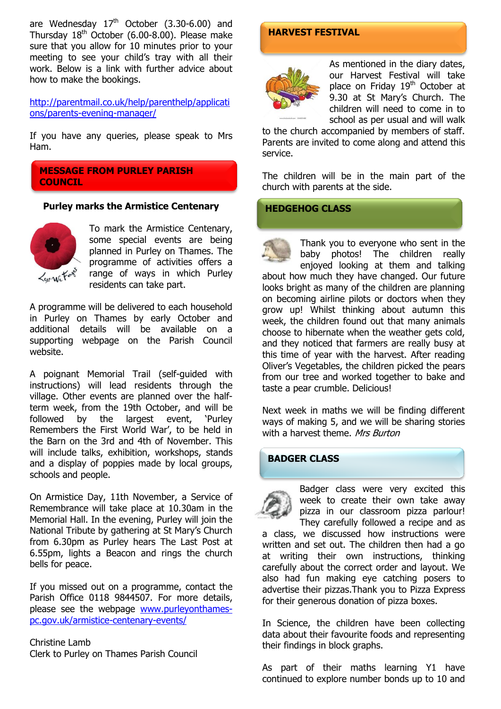are Wednesday  $17<sup>th</sup>$  October (3.30-6.00) and Thursday  $18<sup>th</sup>$  October (6.00-8.00). Please make sure that you allow for 10 minutes prior to your meeting to see your child's tray with all their work. Below is a link with further advice about how to make the bookings.

[http://parentmail.co.uk/help/parenthelp/applicati](http://parentmail.co.uk/help/parenthelp/applications/parents-evening-manager/) [ons/parents-evening-manager/](http://parentmail.co.uk/help/parenthelp/applications/parents-evening-manager/)

If you have any queries, please speak to Mrs Ham.

**MESSAGE FROM PURLEY PARISH COUNCIL**

#### **Purley marks the Armistice Centenary**



To mark the Armistice Centenary, some special events are being planned in Purley on Thames. The programme of activities offers a range of ways in which Purley residents can take part.

A programme will be delivered to each household in Purley on Thames by early October and additional details will be available on a supporting webpage on the Parish Council website.

A poignant Memorial Trail (self-guided with instructions) will lead residents through the village. Other events are planned over the halfterm week, from the 19th October, and will be followed by the largest event, 'Purley Remembers the First World War', to be held in the Barn on the 3rd and 4th of November. This will include talks, exhibition, workshops, stands and a display of poppies made by local groups, schools and people.

On Armistice Day, 11th November, a Service of Remembrance will take place at 10.30am in the Memorial Hall. In the evening, Purley will join the National Tribute by gathering at St Mary's Church from 6.30pm as Purley hears The Last Post at 6.55pm, lights a Beacon and rings the church bells for peace.

If you missed out on a programme, contact the Parish Office 0118 9844507. For more details, please see the webpage [www.purleyonthames](http://www.purleyonthames-pc.gov.uk/armistice-centenary-events/)[pc.gov.uk/armistice-centenary-events/](http://www.purleyonthames-pc.gov.uk/armistice-centenary-events/)

Christine Lamb Clerk to Purley on Thames Parish Council

#### **HARVEST FESTIVAL**



As mentioned in the diary dates, our Harvest Festival will take place on Friday 19<sup>th</sup> October at 9.30 at St Mary's Church. The children will need to come in to school as per usual and will walk

to the church accompanied by members of staff. Parents are invited to come along and attend this service.

The children will be in the main part of the church with parents at the side.

#### **HEDGEHOG CLASS**

Thank you to everyone who sent in the baby photos! The children really enjoyed looking at them and talking about how much they have changed. Our future looks bright as many of the children are planning on becoming airline pilots or doctors when they grow up! Whilst thinking about autumn this week, the children found out that many animals choose to hibernate when the weather gets cold, and they noticed that farmers are really busy at this time of year with the harvest. After reading Oliver's Vegetables, the children picked the pears from our tree and worked together to bake and taste a pear crumble. Delicious!

Next week in maths we will be finding different ways of making 5, and we will be sharing stories with a harvest theme. Mrs Burton

#### **BADGER CLASS**

Badger class were very excited this week to create their own take away pizza in our classroom pizza parlour! They carefully followed a recipe and as

a class, we discussed how instructions were written and set out. The children then had a go at writing their own instructions, thinking carefully about the correct order and layout. We also had fun making eye catching posers to advertise their pizzas.Thank you to Pizza Express for their generous donation of pizza boxes.

In Science, the children have been collecting data about their favourite foods and representing their findings in block graphs.

As part of their maths learning Y1 have continued to explore number bonds up to 10 and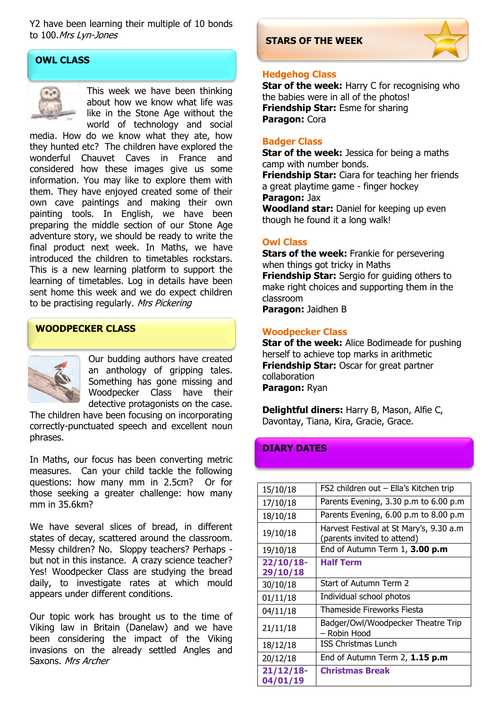Y2 have been learning their multiple of 10 bonds to 100.Mrs Lyn-Jones

#### **OWL CLASS**



This week we have been thinking about how we know what life was like in the Stone Age without the world of technology and social

media. How do we know what they ate, how they hunted etc? The children have explored the wonderful Chauvet Caves in France and considered how these images give us some information. You may like to explore them with them. They have enjoyed created some of their own cave paintings and making their own painting tools. In English, we have been preparing the middle section of our Stone Age adventure story, we should be ready to write the final product next week. In Maths, we have introduced the children to timetables rockstars. This is a new learning platform to support the learning of timetables. Log in details have been sent home this week and we do expect children to be practising regularly. Mrs Pickering

#### **WOODPECKER CLASS**



Our budding authors have created an anthology of gripping tales. Something has gone missing and Woodpecker Class have their detective protagonists on the case.

The children have been focusing on incorporating correctly-punctuated speech and excellent noun phrases.

In Maths, our focus has been converting metric measures. Can your child tackle the following questions: how many mm in 2.5cm? Or for those seeking a greater challenge: how many mm in 35.6km?

We have several slices of bread, in different states of decay, scattered around the classroom. Messy children? No. Sloppy teachers? Perhaps but not in this instance. A crazy science teacher? Yes! Woodpecker Class are studying the bread daily, to investigate rates at which mould appears under different conditions.

Our topic work has brought us to the time of Viking law in Britain (Danelaw) and we have been considering the impact of the Viking invasions on the already settled Angles and Saxons. Mrs Archer

#### **STARS OF THE WEEK**



#### **Hedgehog Class**

**Star of the week:** Harry C for recognising who the babies were in all of the photos! **Friendship Star:** Esme for sharing **Paragon:** Cora

#### **Badger Class**

**Star of the week:** Jessica for being a maths camp with number bonds. **Friendship Star:** Ciara for teaching her friends a great playtime game - finger hockey **Paragon:** Jax

**Woodland star:** Daniel for keeping up even though he found it a long walk!

#### **Owl Class**

**Stars of the week:** Frankie for persevering when things got tricky in Maths **Friendship Star:** Sergio for guiding others to make right choices and supporting them in the classroom **Paragon:** Jaidhen B

#### **Woodpecker Class**

**Star of the week:** Alice Bodimeade for pushing herself to achieve top marks in arithmetic **Friendship Star: Oscar for great partner** collaboration **Paragon:** Ryan

**Delightful diners:** Harry B, Mason, Alfie C, Davontay, Tiana, Kira, Gracie, Grace.

#### **DIARY DATES**

| 15/10/18                 | FS2 children out - Ella's Kitchen trip                                 |
|--------------------------|------------------------------------------------------------------------|
| 17/10/18                 | Parents Evening, 3.30 p.m to 6.00 p.m                                  |
| 18/10/18                 | Parents Evening, 6.00 p.m to 8.00 p.m                                  |
| 19/10/18                 | Harvest Festival at St Mary's, 9.30 a.m<br>(parents invited to attend) |
| 19/10/18                 | End of Autumn Term 1, 3.00 p.m                                         |
| $22/10/18$ -<br>29/10/18 | <b>Half Term</b>                                                       |
| 30/10/18                 | Start of Autumn Term 2                                                 |
| 01/11/18                 | Individual school photos                                               |
| 04/11/18                 | Thameside Fireworks Fiesta                                             |
| 21/11/18                 | Badger/Owl/Woodpecker Theatre Trip<br>- Robin Hood                     |
| 18/12/18                 | <b>ISS Christmas Lunch</b>                                             |
| 20/12/18                 | End of Autumn Term 2, 1.15 p.m                                         |
| $21/12/18$ -<br>04/01/19 | <b>Christmas Break</b>                                                 |